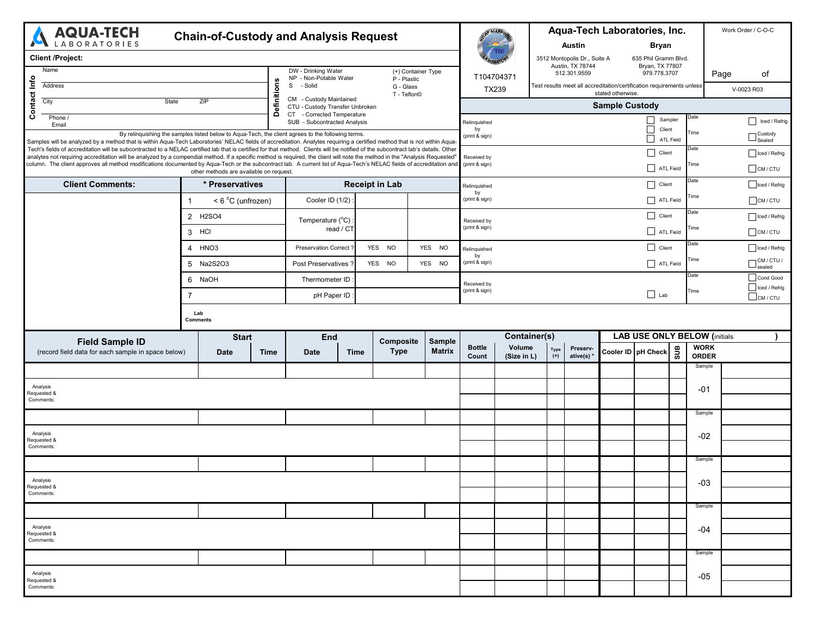| <b>AQUA-TECH</b><br><b>Chain-of-Custody and Analysis Request</b><br><b>ABORATORIES</b>                                                                                                                                                                                                                                                                         |                                         |                                                                                                   |                                                                                   |                            |                                   |                                                 | PACCREA             |                                                  |                                                                       | Aqua-Tech Laboratories, Inc.            |               |                             |                              |  |
|----------------------------------------------------------------------------------------------------------------------------------------------------------------------------------------------------------------------------------------------------------------------------------------------------------------------------------------------------------------|-----------------------------------------|---------------------------------------------------------------------------------------------------|-----------------------------------------------------------------------------------|----------------------------|-----------------------------------|-------------------------------------------------|---------------------|--------------------------------------------------|-----------------------------------------------------------------------|-----------------------------------------|---------------|-----------------------------|------------------------------|--|
|                                                                                                                                                                                                                                                                                                                                                                |                                         |                                                                                                   | <b>Austin</b>                                                                     |                            | <b>Bryan</b>                      |                                                 |                     |                                                  |                                                                       |                                         |               |                             |                              |  |
| <b>Client /Project:</b>                                                                                                                                                                                                                                                                                                                                        |                                         |                                                                                                   |                                                                                   |                            |                                   |                                                 |                     | 3512 Montopolis Dr., Suite A<br>Austin, TX 78744 |                                                                       | 635 Phil Gramm Blvd.<br>Bryan, TX 77807 |               |                             |                              |  |
| Name                                                                                                                                                                                                                                                                                                                                                           |                                         |                                                                                                   | DW - Drinking Water<br>NP - Non-Potable Water                                     |                            | (+) Container Type<br>P - Plastic | T104704371                                      |                     | 512.301.9559                                     |                                                                       | 979.778.3707                            |               | Page                        | of                           |  |
| Address                                                                                                                                                                                                                                                                                                                                                        |                                         |                                                                                                   | S<br>- Solid<br>G - Glass<br>T - Teflon©                                          |                            |                                   | TX239                                           |                     | stated otherwise.                                | Test results meet all accreditation/certification requirements unless |                                         | V-0023 R03    |                             |                              |  |
| Contact Info<br>City<br>ZIP<br>State                                                                                                                                                                                                                                                                                                                           |                                         |                                                                                                   | Definitions<br>CM - Custody Maintained<br>CTU - Custody Transfer Unbroken         |                            |                                   | <b>Sample Custody</b>                           |                     |                                                  |                                                                       |                                         |               |                             |                              |  |
| Phone /<br>Email                                                                                                                                                                                                                                                                                                                                               |                                         |                                                                                                   | <b>CT</b><br>- Corrected Temperature<br>SUB - Subcontracted Analysis              |                            |                                   | $\Box$<br>Sampler<br>Relinquished               |                     |                                                  |                                                                       |                                         | Date          |                             | Iced / Refrig                |  |
|                                                                                                                                                                                                                                                                                                                                                                |                                         | By relinquishing the samples listed below to Aqua-Tech, the client agrees to the following terms. | $\overline{\phantom{a}}$<br>Client<br>by<br>(print & sign)<br>$\Box$<br>ATL Field |                            |                                   |                                                 |                     |                                                  |                                                                       | ⊤ Custody<br>┘Sealed                    |               |                             |                              |  |
| Samples will be analyzed by a method that is within Aqua-Tech Laboratories' NELAC fields of accreditation. Analytes requiring a certified method that is not within Aqua-<br>Tech's fields of accreditation will be subcontracted to a NELAC certified lab that is certified for that method. Clients will be notified of the subcontract lab's details. Other |                                         |                                                                                                   |                                                                                   |                            | Client                            | Date                                            |                     | Iced / Refrig                                    |                                                                       |                                         |               |                             |                              |  |
| analytes not requiring accreditation will be analyzed by a compendial method. If a specific method is required, the client will note the method in the "Analysis Requested"<br>column. The client approves all method modifications documented by Aqua-Tech or the subcontract lab. A current list of Aqua-Tech's NELAC fields of accreditation and            | other methods are available on request. |                                                                                                   |                                                                                   |                            |                                   | Received by<br>(print & sign)                   |                     |                                                  |                                                                       | ATL Field                               | Гime          |                             | $\Box$ CM / CTU              |  |
| <b>Client Comments:</b><br>* Preservatives                                                                                                                                                                                                                                                                                                                     |                                         |                                                                                                   | <b>Receipt in Lab</b>                                                             |                            |                                   | Relinquished                                    |                     | Date<br>Client                                   |                                                                       |                                         | Iced / Refrig |                             |                              |  |
| < 6 °C (unfrozen)<br>$\mathbf 1$                                                                                                                                                                                                                                                                                                                               |                                         |                                                                                                   | Cooler ID (1/2)                                                                   |                            |                                   | bv<br>(print & sign)                            |                     |                                                  | ATL Field                                                             |                                         | Time          |                             | $C$ M/CTU                    |  |
| 2 H2SO4                                                                                                                                                                                                                                                                                                                                                        |                                         |                                                                                                   | Temperature (°C)                                                                  |                            |                                   | Received by                                     |                     |                                                  |                                                                       | $\Box$ Client                           | Date          |                             | Iced / Refrig                |  |
| 3 HCI                                                                                                                                                                                                                                                                                                                                                          |                                         |                                                                                                   | read / CT                                                                         |                            |                                   | (print & sign)                                  |                     |                                                  |                                                                       | $\Box$ ATL Field                        |               |                             | CM/CTU                       |  |
| 4 HNO <sub>3</sub>                                                                                                                                                                                                                                                                                                                                             |                                         |                                                                                                   | <b>Preservation Correct</b>                                                       | YES NO                     | YES NO                            | Relinquished<br>by                              |                     |                                                  |                                                                       | Client                                  | Date          |                             | Iced / Refrig                |  |
| 5 Na2S2O3                                                                                                                                                                                                                                                                                                                                                      |                                         |                                                                                                   | Post Preservatives ?                                                              | YES NO                     | YES NO                            | (print & sign)                                  |                     |                                                  |                                                                       | ATL Field                               | Гime          |                             | $\Box$ CM / CTU /            |  |
| 6 NaOH                                                                                                                                                                                                                                                                                                                                                         |                                         |                                                                                                   | Thermometer ID                                                                    |                            |                                   | Received by                                     |                     |                                                  |                                                                       |                                         | Date          |                             | Cond Good                    |  |
| 7                                                                                                                                                                                                                                                                                                                                                              |                                         |                                                                                                   | pH Paper ID                                                                       |                            |                                   | (print & sign)                                  |                     |                                                  | $\Box$ Lab                                                            |                                         | Time          |                             | Iced / Refrig<br>$C$ M / CTU |  |
|                                                                                                                                                                                                                                                                                                                                                                |                                         |                                                                                                   |                                                                                   |                            |                                   |                                                 |                     |                                                  |                                                                       |                                         |               |                             |                              |  |
| <b>Field Sample ID</b>                                                                                                                                                                                                                                                                                                                                         | <b>Start</b>                            |                                                                                                   | <b>End</b>                                                                        | <b>Composite</b>           | <b>Sample</b>                     |                                                 | <b>Container(s)</b> |                                                  |                                                                       | <b>LAB USE ONLY BELOW (initials</b>     |               |                             |                              |  |
| (record field data for each sample in space below)                                                                                                                                                                                                                                                                                                             | <b>Date</b>                             | <b>Time</b>                                                                                       | <b>Date</b>                                                                       | <b>Type</b><br><b>Time</b> | <b>Matrix</b>                     | <b>Bottle</b><br>Volume<br>Count<br>(Size in L) | Type<br>$(+)$       | Preserv-<br>ative(s) *                           |                                                                       | Cooler ID   pH Check                    | <b>SUB</b>    | <b>WORK</b><br><b>ORDER</b> |                              |  |
|                                                                                                                                                                                                                                                                                                                                                                |                                         |                                                                                                   |                                                                                   |                            |                                   |                                                 |                     |                                                  |                                                                       |                                         |               | Sample                      |                              |  |
| Analysis                                                                                                                                                                                                                                                                                                                                                       |                                         |                                                                                                   |                                                                                   |                            |                                   |                                                 |                     |                                                  |                                                                       |                                         |               | $-01$                       |                              |  |
| Requested &<br>Comments:                                                                                                                                                                                                                                                                                                                                       |                                         |                                                                                                   |                                                                                   |                            |                                   |                                                 |                     |                                                  |                                                                       |                                         |               |                             |                              |  |
|                                                                                                                                                                                                                                                                                                                                                                |                                         |                                                                                                   |                                                                                   |                            |                                   |                                                 |                     |                                                  |                                                                       |                                         |               | Sample                      |                              |  |
| Analysis                                                                                                                                                                                                                                                                                                                                                       |                                         |                                                                                                   |                                                                                   |                            |                                   |                                                 |                     |                                                  |                                                                       |                                         |               | $-02$                       |                              |  |
| Requested &<br>Comments:                                                                                                                                                                                                                                                                                                                                       |                                         |                                                                                                   |                                                                                   |                            |                                   |                                                 |                     |                                                  |                                                                       |                                         |               |                             |                              |  |
|                                                                                                                                                                                                                                                                                                                                                                |                                         |                                                                                                   |                                                                                   |                            |                                   |                                                 |                     |                                                  |                                                                       |                                         |               | Sample                      |                              |  |
| Analysis<br>Requested &                                                                                                                                                                                                                                                                                                                                        |                                         |                                                                                                   |                                                                                   |                            |                                   |                                                 |                     |                                                  |                                                                       |                                         |               | $-03$                       |                              |  |
| Comments:                                                                                                                                                                                                                                                                                                                                                      |                                         |                                                                                                   |                                                                                   |                            |                                   |                                                 |                     |                                                  |                                                                       |                                         |               |                             |                              |  |
|                                                                                                                                                                                                                                                                                                                                                                |                                         |                                                                                                   |                                                                                   |                            |                                   |                                                 |                     |                                                  |                                                                       |                                         |               | Sample                      |                              |  |
| Analysis<br>Requested &                                                                                                                                                                                                                                                                                                                                        |                                         |                                                                                                   |                                                                                   |                            |                                   |                                                 |                     |                                                  |                                                                       | -04                                     |               |                             |                              |  |
| Comments:                                                                                                                                                                                                                                                                                                                                                      |                                         |                                                                                                   |                                                                                   |                            |                                   |                                                 |                     |                                                  |                                                                       |                                         |               |                             |                              |  |
|                                                                                                                                                                                                                                                                                                                                                                |                                         |                                                                                                   |                                                                                   |                            |                                   |                                                 |                     |                                                  |                                                                       |                                         |               | Sample                      |                              |  |
| Analysis<br>Requested &                                                                                                                                                                                                                                                                                                                                        |                                         |                                                                                                   |                                                                                   |                            |                                   |                                                 |                     |                                                  |                                                                       |                                         |               | $-05$                       |                              |  |
| Comments:                                                                                                                                                                                                                                                                                                                                                      |                                         |                                                                                                   |                                                                                   |                            |                                   |                                                 |                     |                                                  |                                                                       |                                         |               |                             |                              |  |